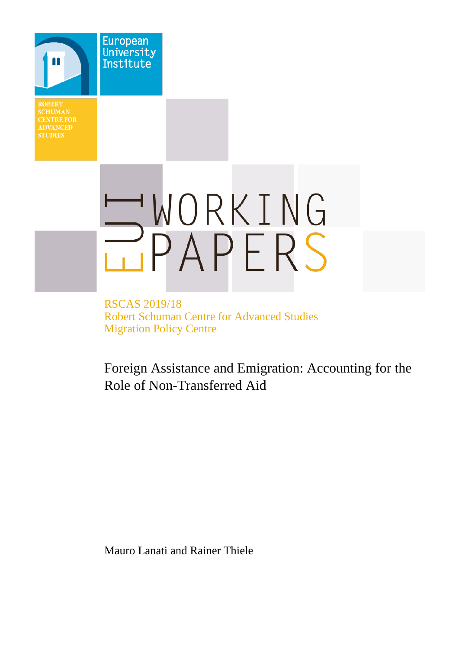**SCHUMAN CENTRE FOR STUDIES** 

**European** University Institute



RSCAS 2019/18 Robert Schuman Centre for Advanced Studies Migration Policy Centre

Foreign Assistance and Emigration: Accounting for the Role of Non-Transferred Aid

Mauro Lanati and Rainer Thiele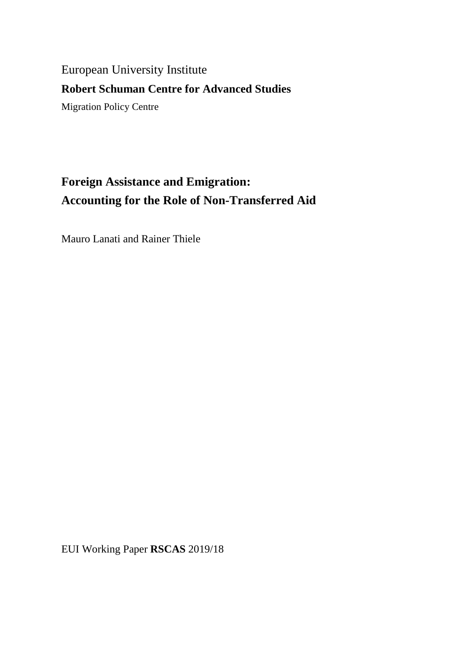# European University Institute

# **Robert Schuman Centre for Advanced Studies**

Migration Policy Centre

# **Foreign Assistance and Emigration: Accounting for the Role of Non-Transferred Aid**

Mauro Lanati and Rainer Thiele

EUI Working Paper **RSCAS** 2019/18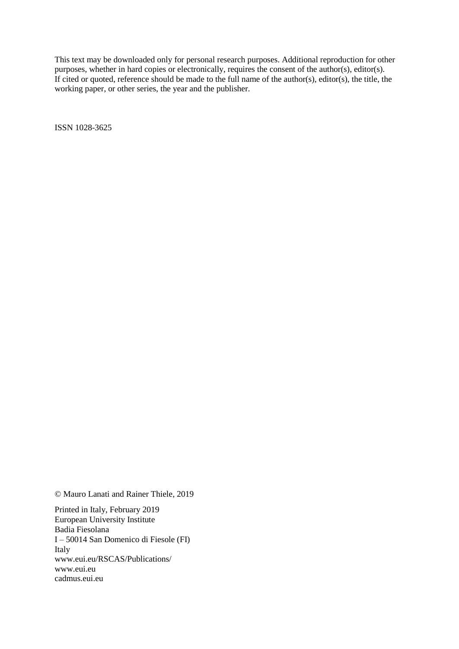This text may be downloaded only for personal research purposes. Additional reproduction for other purposes, whether in hard copies or electronically, requires the consent of the author(s), editor(s). If cited or quoted, reference should be made to the full name of the author(s), editor(s), the title, the working paper, or other series, the year and the publisher.

ISSN 1028-3625

© Mauro Lanati and Rainer Thiele, 2019

Printed in Italy, February 2019 European University Institute Badia Fiesolana I – 50014 San Domenico di Fiesole (FI) Italy [www.eui.eu/RSCAS/Publications/](http://www.eui.eu/RSCAS/Publications/) [www.eui.eu](http://www.eui.eu/) [cadmus.eui.eu](http://cadmus.eui.eu/dspace/index.jsp)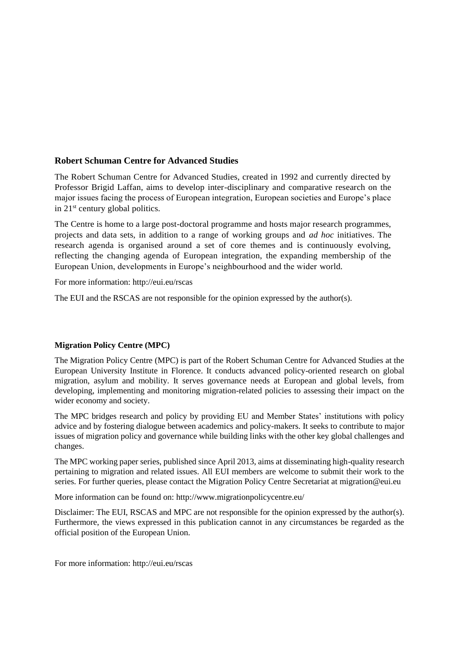## **Robert Schuman Centre for Advanced Studies**

The Robert Schuman Centre for Advanced Studies, created in 1992 and currently directed by Professor Brigid Laffan, aims to develop inter-disciplinary and comparative research on the major issues facing the process of European integration, European societies and Europe's place in 21<sup>st</sup> century global politics.

The Centre is home to a large post-doctoral programme and hosts major research programmes, projects and data sets, in addition to a range of working groups and *ad hoc* initiatives. The research agenda is organised around a set of core themes and is continuously evolving, reflecting the changing agenda of European integration, the expanding membership of the European Union, developments in Europe's neighbourhood and the wider world.

For more information: http://eui.eu/rscas

The EUI and the RSCAS are not responsible for the opinion expressed by the author(s).

#### **Migration Policy Centre (MPC)**

The Migration Policy Centre (MPC) is part of the Robert Schuman Centre for Advanced Studies at the European University Institute in Florence. It conducts advanced policy-oriented research on global migration, asylum and mobility. It serves governance needs at European and global levels, from developing, implementing and monitoring migration-related policies to assessing their impact on the wider economy and society.

The MPC bridges research and policy by providing EU and Member States' institutions with policy advice and by fostering dialogue between academics and policy-makers. It seeks to contribute to major issues of migration policy and governance while building links with the other key global challenges and changes.

The MPC working paper series, published since April 2013, aims at disseminating high-quality research pertaining to migration and related issues. All EUI members are welcome to submit their work to the series. For further queries, please contact the Migration Policy Centre Secretariat at [migration@eui.eu](mailto:migration@eui.eu)

More information can be found on:<http://www.migrationpolicycentre.eu/>

Disclaimer: The EUI, RSCAS and MPC are not responsible for the opinion expressed by the author(s). Furthermore, the views expressed in this publication cannot in any circumstances be regarded as the official position of the European Union.

For more information: http://eui.eu/rscas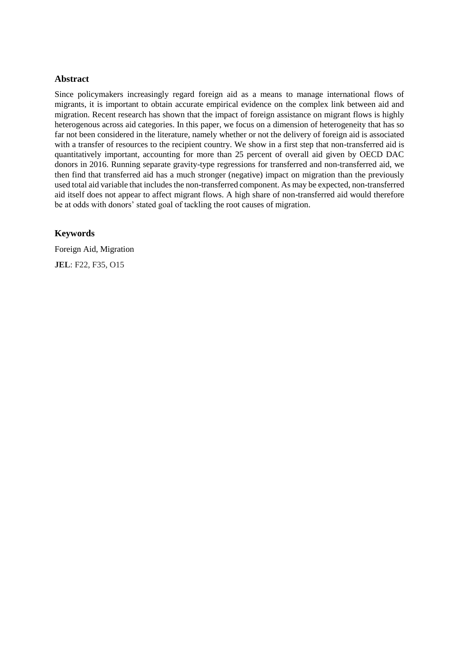#### **Abstract**

Since policymakers increasingly regard foreign aid as a means to manage international flows of migrants, it is important to obtain accurate empirical evidence on the complex link between aid and migration. Recent research has shown that the impact of foreign assistance on migrant flows is highly heterogenous across aid categories. In this paper, we focus on a dimension of heterogeneity that has so far not been considered in the literature, namely whether or not the delivery of foreign aid is associated with a transfer of resources to the recipient country. We show in a first step that non-transferred aid is quantitatively important, accounting for more than 25 percent of overall aid given by OECD DAC donors in 2016. Running separate gravity-type regressions for transferred and non-transferred aid, we then find that transferred aid has a much stronger (negative) impact on migration than the previously used total aid variable that includes the non-transferred component. As may be expected, non-transferred aid itself does not appear to affect migrant flows. A high share of non-transferred aid would therefore be at odds with donors' stated goal of tackling the root causes of migration.

### **Keywords**

Foreign Aid, Migration **JEL**: F22, F35, O15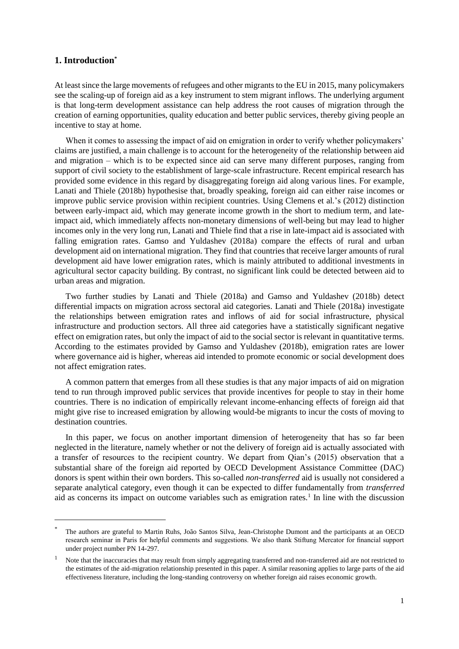#### **1. Introduction\***

 $\overline{\phantom{a}}$ 

At least since the large movements of refugees and other migrants to the EU in 2015, many policymakers see the scaling-up of foreign aid as a key instrument to stem migrant inflows. The underlying argument is that long-term development assistance can help address the root causes of migration through the creation of earning opportunities, quality education and better public services, thereby giving people an incentive to stay at home.

When it comes to assessing the impact of aid on emigration in order to verify whether policymakers' claims are justified, a main challenge is to account for the heterogeneity of the relationship between aid and migration – which is to be expected since aid can serve many different purposes, ranging from support of civil society to the establishment of large-scale infrastructure. Recent empirical research has provided some evidence in this regard by disaggregating foreign aid along various lines. For example, Lanati and Thiele (2018b) hypothesise that, broadly speaking, foreign aid can either raise incomes or improve public service provision within recipient countries. Using Clemens et al.'s (2012) distinction between early-impact aid, which may generate income growth in the short to medium term, and lateimpact aid, which immediately affects non-monetary dimensions of well-being but may lead to higher incomes only in the very long run, Lanati and Thiele find that a rise in late-impact aid is associated with falling emigration rates. Gamso and Yuldashev (2018a) compare the effects of rural and urban development aid on international migration. They find that countries that receive larger amounts of rural development aid have lower emigration rates, which is mainly attributed to additional investments in agricultural sector capacity building. By contrast, no significant link could be detected between aid to urban areas and migration.

Two further studies by Lanati and Thiele (2018a) and Gamso and Yuldashev (2018b) detect differential impacts on migration across sectoral aid categories. Lanati and Thiele (2018a) investigate the relationships between emigration rates and inflows of aid for social infrastructure, physical infrastructure and production sectors. All three aid categories have a statistically significant negative effect on emigration rates, but only the impact of aid to the social sector is relevant in quantitative terms. According to the estimates provided by Gamso and Yuldashev (2018b), emigration rates are lower where governance aid is higher, whereas aid intended to promote economic or social development does not affect emigration rates.

A common pattern that emerges from all these studies is that any major impacts of aid on migration tend to run through improved public services that provide incentives for people to stay in their home countries. There is no indication of empirically relevant income-enhancing effects of foreign aid that might give rise to increased emigration by allowing would-be migrants to incur the costs of moving to destination countries.

In this paper, we focus on another important dimension of heterogeneity that has so far been neglected in the literature, namely whether or not the delivery of foreign aid is actually associated with a transfer of resources to the recipient country. We depart from Qian's (2015) observation that a substantial share of the foreign aid reported by OECD Development Assistance Committee (DAC) donors is spent within their own borders. This so-called *non-transferred* aid is usually not considered a separate analytical category, even though it can be expected to differ fundamentally from *transferred*  aid as concerns its impact on outcome variables such as emigration rates.<sup>1</sup> In line with the discussion

<sup>\*</sup> The authors are grateful to Martin Ruhs, João Santos Silva, Jean-Christophe Dumont and the participants at an OECD research seminar in Paris for helpful comments and suggestions. We also thank Stiftung Mercator for financial support under project number PN 14-297.

<sup>1</sup> Note that the inaccuracies that may result from simply aggregating transferred and non-transferred aid are not restricted to the estimates of the aid-migration relationship presented in this paper. A similar reasoning applies to large parts of the aid effectiveness literature, including the long-standing controversy on whether foreign aid raises economic growth.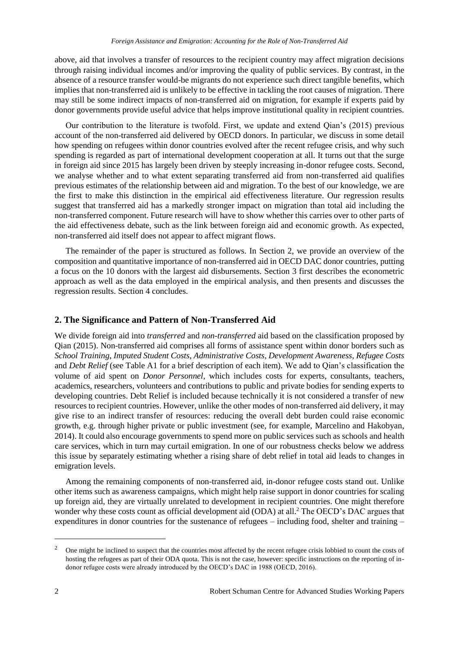above, aid that involves a transfer of resources to the recipient country may affect migration decisions through raising individual incomes and/or improving the quality of public services. By contrast, in the absence of a resource transfer would-be migrants do not experience such direct tangible benefits, which implies that non-transferred aid is unlikely to be effective in tackling the root causes of migration. There may still be some indirect impacts of non-transferred aid on migration, for example if experts paid by donor governments provide useful advice that helps improve institutional quality in recipient countries.

Our contribution to the literature is twofold. First, we update and extend Qian's (2015) previous account of the non-transferred aid delivered by OECD donors. In particular, we discuss in some detail how spending on refugees within donor countries evolved after the recent refugee crisis, and why such spending is regarded as part of international development cooperation at all. It turns out that the surge in foreign aid since 2015 has largely been driven by steeply increasing in-donor refugee costs. Second, we analyse whether and to what extent separating transferred aid from non-transferred aid qualifies previous estimates of the relationship between aid and migration. To the best of our knowledge, we are the first to make this distinction in the empirical aid effectiveness literature. Our regression results suggest that transferred aid has a markedly stronger impact on migration than total aid including the non-transferred component. Future research will have to show whether this carries over to other parts of the aid effectiveness debate, such as the link between foreign aid and economic growth. As expected, non-transferred aid itself does not appear to affect migrant flows.

The remainder of the paper is structured as follows. In Section 2, we provide an overview of the composition and quantitative importance of non-transferred aid in OECD DAC donor countries, putting a focus on the 10 donors with the largest aid disbursements. Section 3 first describes the econometric approach as well as the data employed in the empirical analysis, and then presents and discusses the regression results. Section 4 concludes.

#### **2. The Significance and Pattern of Non-Transferred Aid**

We divide foreign aid into *transferred* and *non-transferred* aid based on the classification proposed by Qian (2015). Non-transferred aid comprises all forms of assistance spent within donor borders such as *School Training*, *Imputed Student Costs*, *Administrative Costs*, *Development Awareness*, *Refugee Costs* and *Debt Relief* (see Table A1 for a brief description of each item). We add to Qian's classification the volume of aid spent on *Donor Personnel*, which includes costs for experts, consultants, teachers, academics, researchers, volunteers and contributions to public and private bodies for sending experts to developing countries. Debt Relief is included because technically it is not considered a transfer of new resources to recipient countries. However, unlike the other modes of non-transferred aid delivery, it may give rise to an indirect transfer of resources: reducing the overall debt burden could raise economic growth, e.g. through higher private or public investment (see, for example, Marcelino and Hakobyan, 2014). It could also encourage governments to spend more on public services such as schools and health care services, which in turn may curtail emigration. In one of our robustness checks below we address this issue by separately estimating whether a rising share of debt relief in total aid leads to changes in emigration levels.

Among the remaining components of non-transferred aid, in-donor refugee costs stand out. Unlike other items such as awareness campaigns, which might help raise support in donor countries for scaling up foreign aid, they are virtually unrelated to development in recipient countries. One might therefore wonder why these costs count as official development aid (ODA) at all.<sup>2</sup> The OECD's DAC argues that expenditures in donor countries for the sustenance of refugees – including food, shelter and training –

 $\overline{\phantom{a}}$ 

<sup>&</sup>lt;sup>2</sup> One might be inclined to suspect that the countries most affected by the recent refugee crisis lobbied to count the costs of hosting the refugees as part of their ODA quota. This is not the case, however: specific instructions on the reporting of indonor refugee costs were already introduced by the OECD's DAC in 1988 (OECD, 2016).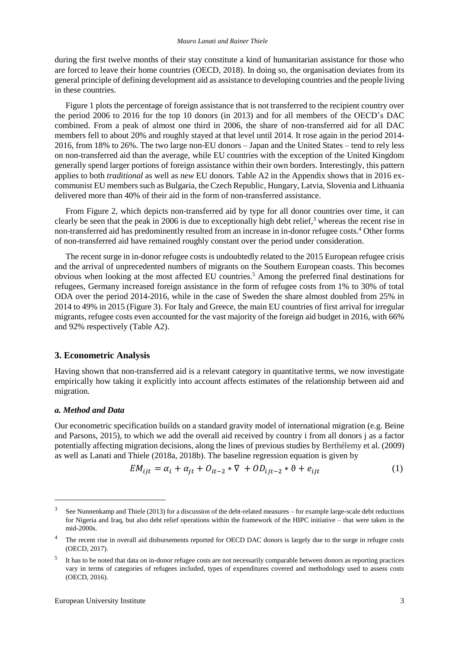during the first twelve months of their stay constitute a kind of humanitarian assistance for those who are forced to leave their home countries (OECD, 2018). In doing so, the organisation deviates from its general principle of defining development aid as assistance to developing countries and the people living in these countries.

Figure 1 plots the percentage of foreign assistance that is not transferred to the recipient country over the period 2006 to 2016 for the top 10 donors (in 2013) and for all members of the OECD's DAC combined. From a peak of almost one third in 2006, the share of non-transferred aid for all DAC members fell to about 20% and roughly stayed at that level until 2014. It rose again in the period 2014- 2016, from 18% to 26%. The two large non-EU donors – Japan and the United States – tend to rely less on non-transferred aid than the average, while EU countries with the exception of the United Kingdom generally spend larger portions of foreign assistance within their own borders. Interestingly, this pattern applies to both *traditional* as well as *new* EU donors. Table A2 in the Appendix shows that in 2016 excommunist EU members such as Bulgaria, the Czech Republic, Hungary, Latvia, Slovenia and Lithuania delivered more than 40% of their aid in the form of non-transferred assistance.

From Figure 2, which depicts non-transferred aid by type for all donor countries over time, it can clearly be seen that the peak in 2006 is due to exceptionally high debt relief, $3$  whereas the recent rise in non-transferred aid has predominently resulted from an increase in in-donor refugee costs. <sup>4</sup> Other forms of non-transferred aid have remained roughly constant over the period under consideration.

The recent surge in in-donor refugee costs is undoubtedly related to the 2015 European refugee crisis and the arrival of unprecedented numbers of migrants on the Southern European coasts. This becomes obvious when looking at the most affected EU countries.<sup>5</sup> Among the preferred final destinations for refugees, Germany increased foreign assistance in the form of refugee costs from 1% to 30% of total ODA over the period 2014-2016, while in the case of Sweden the share almost doubled from 25% in 2014 to 49% in 2015 (Figure 3). For Italy and Greece, the main EU countries of first arrival for irregular migrants, refugee costs even accounted for the vast majority of the foreign aid budget in 2016, with 66% and 92% respectively (Table A2).

#### **3. Econometric Analysis**

Having shown that non-transferred aid is a relevant category in quantitative terms, we now investigate empirically how taking it explicitly into account affects estimates of the relationship between aid and migration.

#### *a. Method and Data*

l

Our econometric specification builds on a standard gravity model of international migration (e.g. Beine and Parsons, 2015), to which we add the overall aid received by country i from all donors j as a factor potentially affecting migration decisions, along the lines of previous studies by Berthélemy et al. (2009) as well as Lanati and Thiele (2018a, 2018b). The baseline regression equation is given by

$$
EM_{ijt} = \alpha_i + \alpha_{jt} + O_{it-2} * \nabla + OD_{ijt-2} * \vartheta + e_{ijt}
$$
 (1)

<sup>3</sup> See Nunnenkamp and Thiele (2013) for a discussion of the debt-related measures – for example large-scale debt reductions for Nigeria and Iraq, but also debt relief operations within the framework of the HIPC initiative – that were taken in the mid-2000s.

<sup>&</sup>lt;sup>4</sup> The recent rise in overall aid disbursements reported for OECD DAC donors is largely due to the surge in refugee costs (OECD, 2017).

<sup>5</sup> It has to be noted that data on in-donor refugee costs are not necessarily comparable between donors as reporting practices vary in terms of categories of refugees included, types of expenditures covered and methodology used to assess costs (OECD, 2016).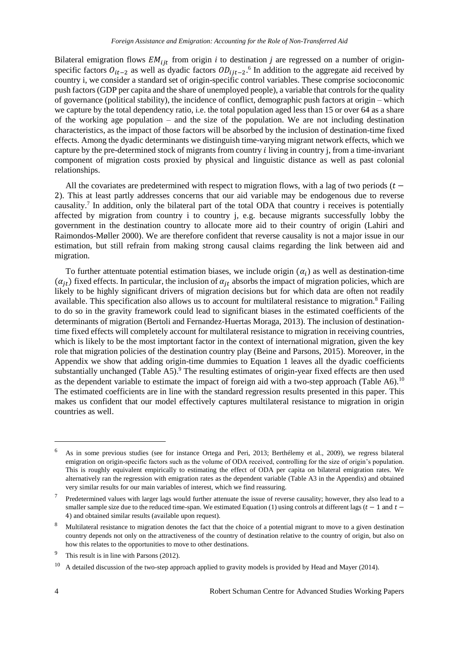Bilateral emigration flows  $EM_{ijt}$  from origin *i* to destination *j* are regressed on a number of originspecific factors  $O_{it-2}$  as well as dyadic factors  $OD_{ijt-2}$ .<sup>6</sup> In addition to the aggregate aid received by country i, we consider a standard set of origin-specific control variables. These comprise socioconomic push factors (GDP per capita and the share of unemployed people), a variable that controls for the quality of governance (political stability), the incidence of conflict, demographic push factors at origin – which we capture by the total dependency ratio, i.e. the total population aged less than 15 or over 64 as a share of the working age population – and the size of the population. We are not including destination characteristics, as the impact of those factors will be absorbed by the inclusion of destination-time fixed effects. Among the dyadic determinants we distinguish time-varying migrant network effects, which we capture by the pre-determined stock of migrants from country *i* living in country *j*, from a time-invariant component of migration costs proxied by physical and linguistic distance as well as past colonial relationships.

All the covariates are predetermined with respect to migration flows, with a lag of two periods ( $t$  – 2). This at least partly addresses concerns that our aid variable may be endogenous due to reverse causality.<sup>7</sup> In addition, only the bilateral part of the total ODA that country i receives is potentially affected by migration from country i to country j, e.g. because migrants successfully lobby the government in the destination country to allocate more aid to their country of origin (Lahiri and Raimondos-Møller 2000). We are therefore confident that reverse causality is not a major issue in our estimation, but still refrain from making strong causal claims regarding the link between aid and migration.

To further attentuate potential estimation biases, we include origin  $(\alpha_i)$  as well as destination-time  $(\alpha_{it})$  fixed effects. In particular, the inclusion of  $\alpha_{it}$  absorbs the impact of migration policies, which are likely to be highly significant drivers of migration decisions but for which data are often not readily available. This specification also allows us to account for multilateral resistance to migration.<sup>8</sup> Failing to do so in the gravity framework could lead to significant biases in the estimated coefficients of the determinants of migration (Bertoli and Fernandez-Huertas Moraga, 2013). The inclusion of destinationtime fixed effects will completely account for multilateral resistance to migration in receiving countries, which is likely to be the most imptortant factor in the context of international migration, given the key role that migration policies of the destination country play (Beine and Parsons, 2015). Moreover, in the Appendix we show that adding origin-time dummies to Equation 1 leaves all the dyadic coefficients substantially unchanged (Table A5).<sup>9</sup> The resulting estimates of origin-year fixed effects are then used as the dependent variable to estimate the impact of foreign aid with a two-step approach (Table A6).<sup>10</sup> The estimated coefficients are in line with the standard regression results presented in this paper. This makes us confident that our model effectively captures multilateral resistance to migration in origin countries as well.

 $\overline{a}$ 

<sup>6</sup> As in some previous studies (see for instance Ortega and Peri, 2013; Berthélemy et al., 2009), we regress bilateral emigration on origin-specific factors such as the volume of ODA received, controlling for the size of origin's population. This is roughly equivalent empirically to estimating the effect of ODA per capita on bilateral emigration rates. We alternatively ran the regression with emigration rates as the dependent variable (Table A3 in the Appendix) and obtained very similar results for our main variables of interest, which we find reassuring.

<sup>7</sup> Predetermined values with larger lags would further attenuate the issue of reverse causality; however, they also lead to a smaller sample size due to the reduced time-span. We estimated Equation (1) using controls at different lags ( $t - 1$  and  $t -$ 4) and obtained similar results (available upon request).

<sup>8</sup> Multilateral resistance to migration denotes the fact that the choice of a potential migrant to move to a given destination country depends not only on the attractiveness of the country of destination relative to the country of origin, but also on how this relates to the opportunities to move to other destinations.

<sup>&</sup>lt;sup>9</sup> This result is in line with Parsons (2012).

 $10$  A detailed discussion of the two-step approach applied to gravity models is provided by Head and Mayer (2014).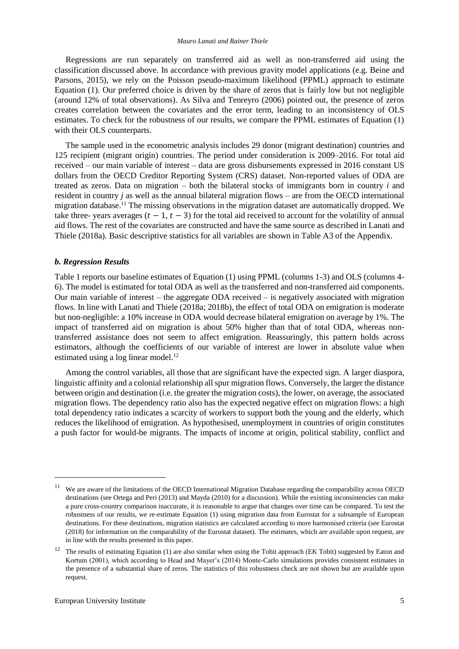#### *Mauro Lanati and Rainer Thiele*

Regressions are run separately on transferred aid as well as non-transferred aid using the classification discussed above. In accordance with previous gravity model applications (e.g. Beine and Parsons, 2015), we rely on the Poisson pseudo-maximum likelihood (PPML) approach to estimate Equation (1). Our preferred choice is driven by the share of zeros that is fairly low but not negligible (around 12% of total observations). As Silva and Tenreyro (2006) pointed out, the presence of zeros creates correlation between the covariates and the error term, leading to an inconsistency of OLS estimates. To check for the robustness of our results, we compare the PPML estimates of Equation (1) with their OLS counterparts.

The sample used in the econometric analysis includes 29 donor (migrant destination) countries and 125 recipient (migrant origin) countries. The period under consideration is 2009–2016. For total aid received – our main variable of interest – data are gross disbursements expressed in 2016 constant US dollars from the OECD Creditor Reporting System (CRS) dataset. Non-reported values of ODA are treated as zeros. Data on migration – both the bilateral stocks of immigrants born in country *i* and resident in country *j* as well as the annual bilateral migration flows – are from the OECD international migration database.<sup>11</sup> The missing observations in the migration dataset are automatically dropped. We take three- years averages  $(t - 1, t - 3)$  for the total aid received to account for the volatility of annual aid flows. The rest of the covariates are constructed and have the same source as described in Lanati and Thiele (2018a). Basic descriptive statistics for all variables are shown in Table A3 of the Appendix.

#### *b. Regression Results*

Table 1 reports our baseline estimates of Equation (1) using PPML (columns 1-3) and OLS (columns 4- 6). The model is estimated for total ODA as well as the transferred and non-transferred aid components. Our main variable of interest – the aggregate ODA received – is negatively associated with migration flows. In line with Lanati and Thiele (2018a; 2018b), the effect of total ODA on emigration is moderate but non-negligible: a 10% increase in ODA would decrease bilateral emigration on average by 1%. The impact of transferred aid on migration is about 50% higher than that of total ODA, whereas nontransferred assistance does not seem to affect emigration. Reassuringly, this pattern holds across estimators, although the coefficients of our variable of interest are lower in absolute value when estimated using a log linear model. $^{12}$ 

Among the control variables, all those that are significant have the expected sign. A larger diaspora, linguistic affinity and a colonial relationship all spur migration flows. Conversely, the larger the distance between origin and destination (i.e. the greater the migration costs), the lower, on average, the associated migration flows. The dependency ratio also has the expected negative effect on migration flows: a high total dependency ratio indicates a scarcity of workers to support both the young and the elderly, which reduces the likelihood of emigration. As hypothesised, unemployment in countries of origin constitutes a push factor for would-be migrants. The impacts of income at origin, political stability, conflict and

 $\overline{\phantom{a}}$ 

<sup>11</sup> We are aware of the limitations of the OECD International Migration Database regarding the comparability across OECD destinations (see Ortega and Peri (2013) and Mayda (2010) for a discussion). While the existing inconsistencies can make a pure cross-country comparison inaccurate, it is reasonable to argue that changes over time can be compared. To test the robustness of our results, we re-estimate Equation (1) using migration data from Eurostat for a subsample of European destinations. For these destinations, migration statistics are calculated according to more harmonised criteria (see Eurostat (2018) for information on the comparability of the Eurostat dataset). The estimates, which are available upon request, are in line with the results presented in this paper.

<sup>12</sup> The results of estimating Equation (1) are also similar when using the Tobit approach (EK Tobit) suggested by Eaton and Kortum (2001), which according to Head and Mayer's (2014) Monte-Carlo simulations provides consistent estimates in the presence of a substantial share of zeros. The statistics of this robustness check are not shown but are available upon request.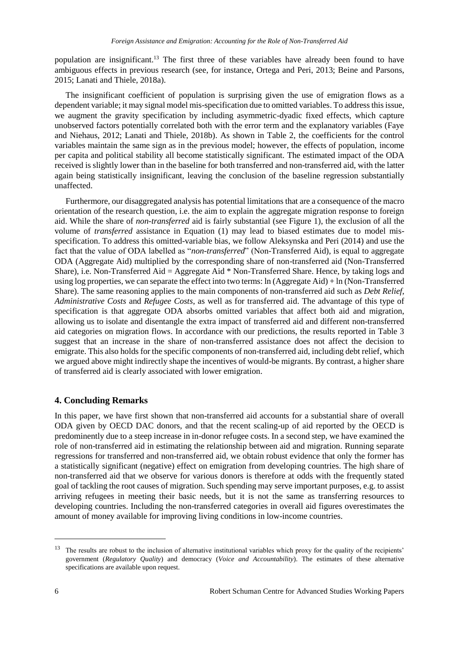population are insignificant.<sup>13</sup> The first three of these variables have already been found to have ambiguous effects in previous research (see, for instance, Ortega and Peri, 2013; Beine and Parsons, 2015; Lanati and Thiele, 2018a).

The insignificant coefficient of population is surprising given the use of emigration flows as a dependent variable; it may signal model mis-specification due to omitted variables. To address this issue, we augment the gravity specification by including asymmetric-dyadic fixed effects, which capture unobserved factors potentially correlated both with the error term and the explanatory variables (Faye and Niehaus, 2012; Lanati and Thiele, 2018b). As shown in Table 2, the coefficients for the control variables maintain the same sign as in the previous model; however, the effects of population, income per capita and political stability all become statistically significant. The estimated impact of the ODA received is slightly lower than in the baseline for both transferred and non-transferred aid, with the latter again being statistically insignificant, leaving the conclusion of the baseline regression substantially unaffected.

Furthermore, our disaggregated analysis has potential limitations that are a consequence of the macro orientation of the research question, i.e. the aim to explain the aggregate migration response to foreign aid. While the share of *non-transferred* aid is fairly substantial (see Figure 1), the exclusion of all the volume of *transferred* assistance in Equation (1) may lead to biased estimates due to model misspecification. To address this omitted-variable bias, we follow Aleksynska and Peri (2014) and use the fact that the value of ODA labelled as "*non-transferred*" (Non-Transferred Aid), is equal to aggregate ODA (Aggregate Aid) multiplied by the corresponding share of non-transferred aid (Non-Transferred Share), i.e. Non-Transferred Aid = Aggregate Aid \* Non-Transferred Share. Hence, by taking logs and using log properties, we can separate the effect into two terms: ln (Aggregate Aid) + ln (Non-Transferred Share). The same reasoning applies to the main components of non-transferred aid such as *Debt Relief*, *Administrative Costs* and *Refugee Costs*, as well as for transferred aid. The advantage of this type of specification is that aggregate ODA absorbs omitted variables that affect both aid and migration, allowing us to isolate and disentangle the extra impact of transferred aid and different non-transferred aid categories on migration flows. In accordance with our predictions, the results reported in Table 3 suggest that an increase in the share of non-transferred assistance does not affect the decision to emigrate. This also holds for the specific components of non-transferred aid, including debt relief, which we argued above might indirectly shape the incentives of would-be migrants. By contrast, a higher share of transferred aid is clearly associated with lower emigration.

#### **4. Concluding Remarks**

In this paper, we have first shown that non-transferred aid accounts for a substantial share of overall ODA given by OECD DAC donors, and that the recent scaling-up of aid reported by the OECD is predominently due to a steep increase in in-donor refugee costs. In a second step, we have examined the role of non-transferred aid in estimating the relationship between aid and migration. Running separate regressions for transferred and non-transferred aid, we obtain robust evidence that only the former has a statistically significant (negative) effect on emigration from developing countries. The high share of non-transferred aid that we observe for various donors is therefore at odds with the frequently stated goal of tackling the root causes of migration. Such spending may serve important purposes, e.g. to assist arriving refugees in meeting their basic needs, but it is not the same as transferring resources to developing countries. Including the non-transferred categories in overall aid figures overestimates the amount of money available for improving living conditions in low-income countries.

 $\overline{\phantom{a}}$ 

<sup>&</sup>lt;sup>13</sup> The results are robust to the inclusion of alternative institutional variables which proxy for the quality of the recipients' government (*Regulatory Quality*) and democracy (*Voice and Accountability*). The estimates of these alternative specifications are available upon request.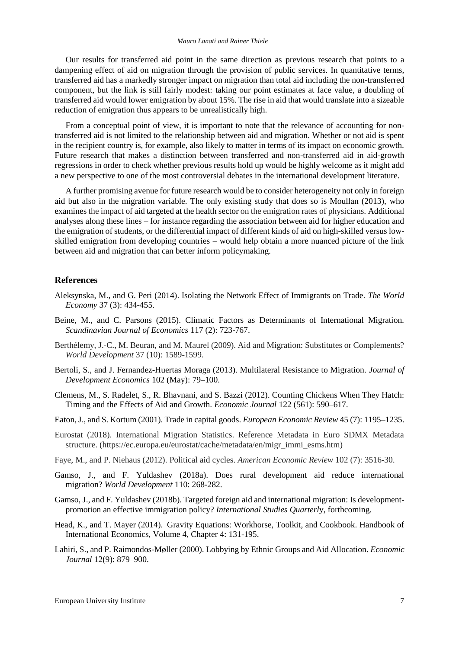Our results for transferred aid point in the same direction as previous research that points to a dampening effect of aid on migration through the provision of public services. In quantitative terms, transferred aid has a markedly stronger impact on migration than total aid including the non-transferred component, but the link is still fairly modest: taking our point estimates at face value, a doubling of transferred aid would lower emigration by about 15%. The rise in aid that would translate into a sizeable reduction of emigration thus appears to be unrealistically high.

From a conceptual point of view, it is important to note that the relevance of accounting for nontransferred aid is not limited to the relationship between aid and migration. Whether or not aid is spent in the recipient country is, for example, also likely to matter in terms of its impact on economic growth. Future research that makes a distinction between transferred and non-transferred aid in aid-growth regressions in order to check whether previous results hold up would be highly welcome as it might add a new perspective to one of the most controversial debates in the international development literature.

A further promising avenue for future research would be to consider heterogeneity not only in foreign aid but also in the migration variable. The only existing study that does so is Moullan (2013), who examines the impact of aid targeted at the health sector on the emigration rates of physicians. Additional analyses along these lines – for instance regarding the association between aid for higher education and the emigration of students, or the differential impact of different kinds of aid on high-skilled versus lowskilled emigration from developing countries – would help obtain a more nuanced picture of the link between aid and migration that can better inform policymaking.

#### **References**

- Aleksynska, M., and G. Peri (2014). Isolating the Network Effect of Immigrants on Trade. *The World Economy* 37 (3): 434-455.
- Beine, M., and C. Parsons (2015). Climatic Factors as Determinants of International Migration. *Scandinavian Journal of Economics* 117 (2): 723-767.
- Berthélemy, J.-C., M. Beuran, and M. Maurel (2009). Aid and Migration: Substitutes or Complements? *World Development* 37 (10): 1589-1599.
- Bertoli, S., and J. Fernandez-Huertas Moraga (2013). Multilateral Resistance to Migration. *Journal of Development Economics* 102 (May): 79–100.
- Clemens, M., S. Radelet, S., R. Bhavnani, and S. Bazzi (2012). Counting Chickens When They Hatch: Timing and the Effects of Aid and Growth. *Economic Journal* 122 (561): 590–617.
- Eaton, J., and S. Kortum (2001). Trade in capital goods. *European Economic Review* 45 (7): 1195–1235.
- Eurostat (2018). International Migration Statistics. Reference Metadata in Euro SDMX Metadata structure. (https://ec.europa.eu/eurostat/cache/metadata/en/migr\_immi\_esms.htm)
- Faye, M., and P. Niehaus (2012). Political aid cycles. *American Economic Review* 102 (7): 3516-30.
- Gamso, J., and F. Yuldashev (2018a). Does rural development aid reduce international migration? *World Development* 110: 268-282.
- Gamso, J., and F. Yuldashev (2018b). Targeted foreign aid and international migration: Is developmentpromotion an effective immigration policy? *International Studies Quarterl*y, forthcoming.
- Head, K., and T. Mayer (2014). Gravity Equations: Workhorse, Toolkit, and Cookbook. Handbook of International Economics, Volume 4, Chapter 4: 131-195.
- Lahiri, S., and P. Raimondos-Møller (2000). Lobbying by Ethnic Groups and Aid Allocation. *Economic Journal* 12(9): 879–900.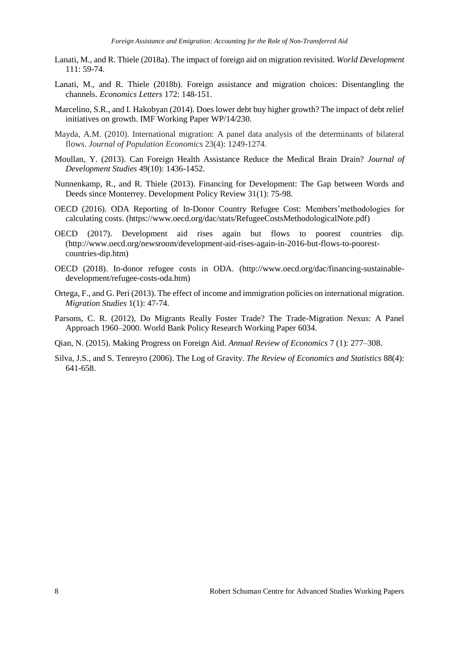- Lanati, M., and R. Thiele (2018a). The impact of foreign aid on migration revisited. *World Development* 111: 59-74.
- Lanati, M., and R. Thiele (2018b). Foreign assistance and migration choices: Disentangling the channels. *Economics Letters* 172: 148-151.
- Marcelino, S.R., and I. Hakobyan (2014). Does lower debt buy higher growth? The impact of debt relief initiatives on growth. IMF Working Paper WP/14/230.
- Mayda, A.M. (2010). International migration: A panel data analysis of the determinants of bilateral flows. *Journal of Population Economics* 23(4): 1249-1274.
- Moullan, Y. (2013). Can Foreign Health Assistance Reduce the Medical Brain Drain? *Journal of Development Studies* 49(10): 1436-1452.
- Nunnenkamp, R., and R. Thiele (2013). Financing for Development: The Gap between Words and Deeds since Monterrey. Development Policy Review 31(1): 75-98.
- OECD (2016). ODA Reporting of In-Donor Country Refugee Cost: Members'methodologies for calculating costs. (https://www.oecd.org/dac/stats/RefugeeCostsMethodologicalNote.pdf)
- OECD (2017). Development aid rises again but flows to poorest countries dip. (http://www.oecd.org/newsroom/development-aid-rises-again-in-2016-but-flows-to-poorestcountries-dip.htm)
- OECD (2018). In-donor refugee costs in ODA. (http://www.oecd.org/dac/financing-sustainabledevelopment/refugee-costs-oda.htm)
- Ortega, F., and G. Peri (2013). The effect of income and immigration policies on international migration. *Migration Studies* 1(1): 47-74.
- Parsons, C. R. (2012), Do Migrants Really Foster Trade? The Trade-Migration Nexus: A Panel Approach 1960–2000. World Bank Policy Research Working Paper 6034.
- Qian, N. (2015). Making Progress on Foreign Aid. *Annual Review of Economics* 7 (1): 277–308.
- Silva, J.S., and S. Tenreyro (2006). The Log of Gravity. *The Review of Economics and Statistics* 88(4): 641-658.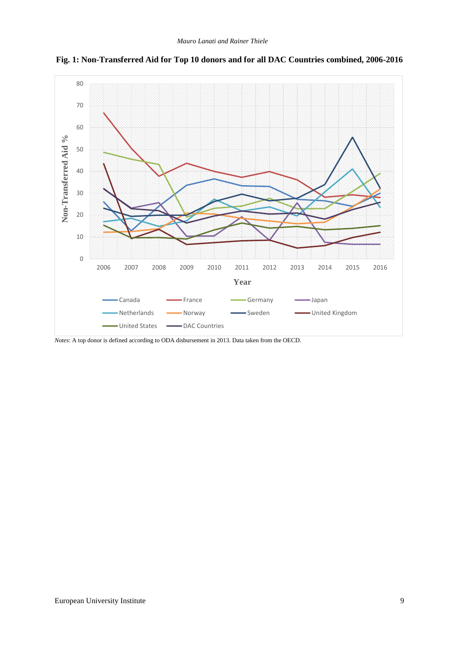

**Fig. 1: Non-Transferred Aid for Top 10 donors and for all DAC Countries combined, 2006-2016**

*Notes*: A top donor is defined according to ODA disbursement in 2013. Data taken from the OECD.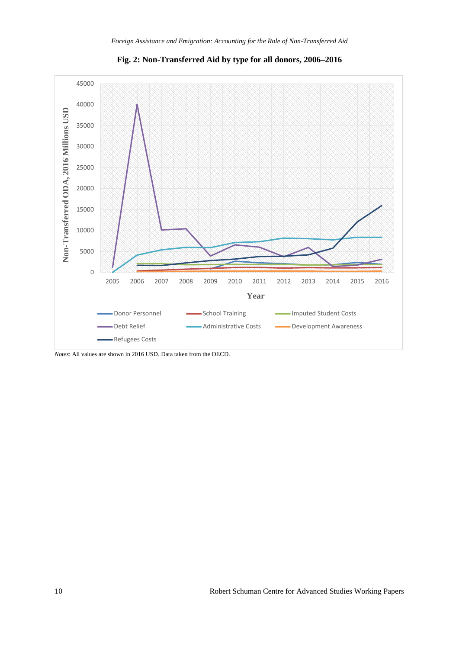

**Fig. 2: Non-Transferred Aid by type for all donors, 2006–2016**

*Notes*: All values are shown in 2016 USD. Data taken from the OECD.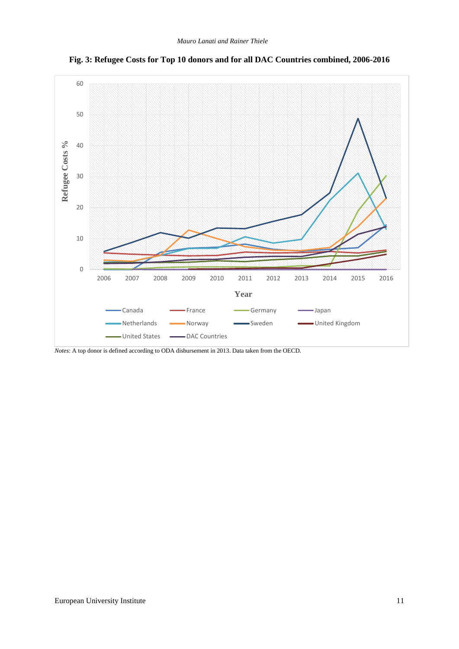

**Fig. 3: Refugee Costs for Top 10 donors and for all DAC Countries combined, 2006-2016**

*Notes*: A top donor is defined according to ODA disbursement in 2013. Data taken from the OECD.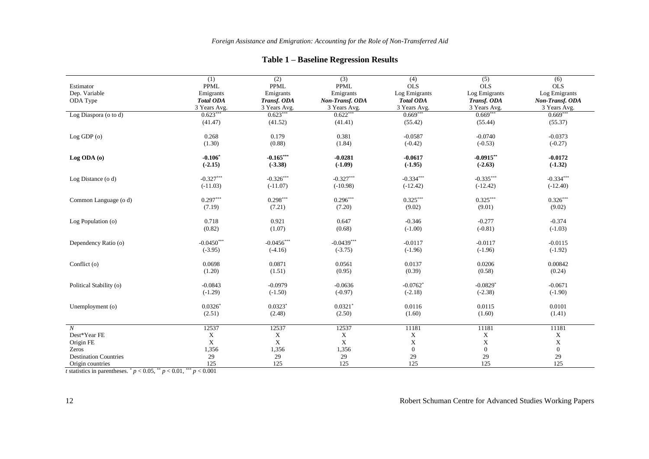### **Table 1 – Baseline Regression Results**

|                              | (1)              | (2)          | (3)                   | (4)                    | (5)                    | (6)             |
|------------------------------|------------------|--------------|-----------------------|------------------------|------------------------|-----------------|
| Estimator                    | <b>PPML</b>      | <b>PPML</b>  | <b>PPML</b>           | <b>OLS</b>             | <b>OLS</b>             | <b>OLS</b>      |
| Dep. Variable                | Emigrants        | Emigrants    | Emigrants             | Log Emigrants          | Log Emigrants          | Log Emigrants   |
| ODA Type                     | <b>Total ODA</b> | Transf. ODA  | Non-Transf. ODA       | <b>Total ODA</b>       | Transf. ODA            | Non-Transf. ODA |
|                              | 3 Years Avg.     | 3 Years Avg. | 3 Years Avg.          | 3 Years Avg.           | 3 Years Avg.           | 3 Years Avg.    |
| Log Diaspora (o to d)        | $0.623***$       | $0.623***$   | $0.622***$            | $0.669***$             | $0.669***$             | $0.669***$      |
|                              | (41.47)          | (41.52)      | (41.41)               | (55.42)                | (55.44)                | (55.37)         |
| Log GDP(o)                   | 0.268            | 0.179        | 0.381                 | $-0.0587$              | $-0.0740$              | $-0.0373$       |
|                              | (1.30)           | (0.88)       | (1.84)                | $(-0.42)$              | $(-0.53)$              | $(-0.27)$       |
| Log ODA (0)                  | $-0.106*$        | $-0.165***$  | $-0.0281$             | $-0.0617$              | $-0.0915***$           | $-0.0172$       |
|                              | $(-2.15)$        | $(-3.38)$    | $(-1.09)$             | $(-1.95)$              | $(-2.63)$              | $(-1.32)$       |
| Log Distance (o d)           | $-0.327***$      | $-0.326***$  | $-0.327***$           | $-0.334***$            | $-0.335***$            | $-0.334***$     |
|                              | $(-11.03)$       | $(-11.07)$   | $(-10.98)$            | $(-12.42)$             | $(-12.42)$             | $(-12.40)$      |
| Common Language (o d)        | $0.297***$       | $0.298***$   | $0.296***$            | $0.325***$             | $0.325***$             | $0.326***$      |
|                              | (7.19)           | (7.21)       | (7.20)                | (9.02)                 | (9.01)                 | (9.02)          |
| Log Population (o)           | 0.718            | 0.921        | 0.647                 | $-0.346$               | $-0.277$               | $-0.374$        |
|                              | (0.82)           | (1.07)       | (0.68)                | $(-1.00)$              | $(-0.81)$              | $(-1.03)$       |
| Dependency Ratio (o)         | $-0.0450***$     | $-0.0456***$ | $-0.0439***$          | $-0.0117$              | $-0.0117$              | $-0.0115$       |
|                              | $(-3.95)$        | $(-4.16)$    | $(-3.75)$             | $(-1.96)$              | $(-1.96)$              | $(-1.92)$       |
| Conflict (o)                 | 0.0698           | 0.0871       | 0.0561                | 0.0137                 | 0.0206                 | 0.00842         |
|                              | (1.20)           | (1.51)       | (0.95)                | (0.39)                 | (0.58)                 | (0.24)          |
| Political Stability (o)      | $-0.0843$        | $-0.0979$    | $-0.0636$             | $-0.0762$ <sup>*</sup> | $-0.0829$ <sup>*</sup> | $-0.0671$       |
|                              | $(-1.29)$        | $(-1.50)$    | $(-0.97)$             | $(-2.18)$              | $(-2.38)$              | $(-1.90)$       |
| Unemployment (o)             | $0.0326*$        | $0.0323*$    | $0.0321$ <sup>*</sup> | 0.0116                 | 0.0115                 | 0.0101          |
|                              | (2.51)           | (2.48)       | (2.50)                | (1.60)                 | (1.60)                 | (1.41)          |
| $\boldsymbol{N}$             | 12537            | 12537        | 12537                 | 11181                  | 11181                  | 11181           |
| Dest*Year FE                 | $\mathbf X$      | $\mathbf X$  | $\mathbf X$           | $\mathbf X$            | $\mathbf X$            | X               |
| Origin FE                    | X                | $\mathbf X$  | $\mathbf X$           | $\mathbf X$            | $\mathbf X$            | X               |
| Zeros                        | 1,356            | 1,356        | 1,356                 | $\boldsymbol{0}$       | $\overline{0}$         | $\mathbf{0}$    |
| <b>Destination Countries</b> | 29               | 29           | 29                    | 29                     | 29                     | 29              |
| Origin countries             | 125              | 125          | 125                   | 125                    | 125                    | 125             |

*t* statistics in parentheses.  $p < 0.05$ ,  $p < 0.01$ ,  $p < 0.001$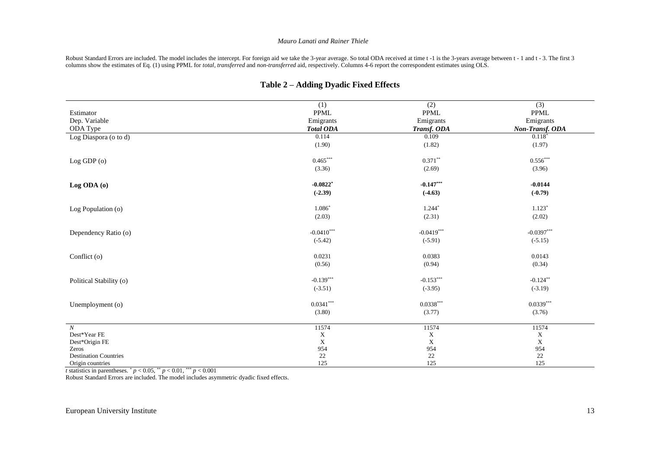#### *Mauro Lanati and Rainer Thiele*

Robust Standard Errors are included. The model includes the intercept. For foreign aid we take the 3-year average. So total ODA received at time t -1 is the 3-years average between t - 1 and t - 3. The first 3 columns show the estimates of Eq. (1) using PPML for *total*, *transferred* and *non-transferred* aid, respectively. Columns 4-6 report the correspondent estimates using OLS.

|                              | (1)                    | (2)                     | (3)             |
|------------------------------|------------------------|-------------------------|-----------------|
| Estimator                    | PPML                   | <b>PPML</b>             | <b>PPML</b>     |
| Dep. Variable                | Emigrants              | Emigrants               | Emigrants       |
| ODA Type                     | <b>Total ODA</b>       | Transf. ODA             | Non-Transf. ODA |
| Log Diaspora (o to d)        | 0.114                  | 0.109                   | $0.118*$        |
|                              | (1.90)                 | (1.82)                  | (1.97)          |
| Log GDP (o)                  | $0.465***$             | $0.371**$               | $0.556***$      |
|                              | (3.36)                 | (2.69)                  | (3.96)          |
| Log ODA (0)                  | $-0.0822$ <sup>*</sup> | $-0.147***$             | $-0.0144$       |
|                              | $(-2.39)$              | $(-4.63)$               | $(-0.79)$       |
| Log Population (o)           | $1.086*$               | $1.244*$                | $1.123*$        |
|                              | (2.03)                 | (2.31)                  | (2.02)          |
| Dependency Ratio (o)         | $-0.0410***$           | $-0.0419***$            | $-0.0397***$    |
|                              | $(-5.42)$              | $(-5.91)$               | $(-5.15)$       |
| Conflict (o)                 | 0.0231                 | 0.0383                  | 0.0143          |
|                              | (0.56)                 | (0.94)                  | (0.34)          |
| Political Stability (o)      | $-0.139***$            | $-0.153***$             | $-0.124***$     |
|                              | $(-3.51)$              | $(-3.95)$               | $(-3.19)$       |
| Unemployment (o)             | $0.0341***$            | $0.0338^{\ast\ast\ast}$ | $0.0339***$     |
|                              | (3.80)                 | (3.77)                  | (3.76)          |
| N                            | 11574                  | 11574                   | 11574           |
| Dest*Year FE                 | $\mathbf X$            | $\mathbf X$             | X               |
| Dest*Origin FE               | $\mathbf X$            | $\mathbf X$             | $\mathbf X$     |
| Zeros                        | 954                    | 954                     | 954             |
| <b>Destination Countries</b> | $22\,$                 | $22\,$                  | $22\,$          |
| Origin countries             | 125                    | 125                     | 125             |

#### **Table 2 – Adding Dyadic Fixed Effects**

*t* statistics in parentheses.  $p < 0.05$ ,  $p < 0.01$ ,  $p < 0.001$ 

Robust Standard Errors are included. The model includes asymmetric dyadic fixed effects.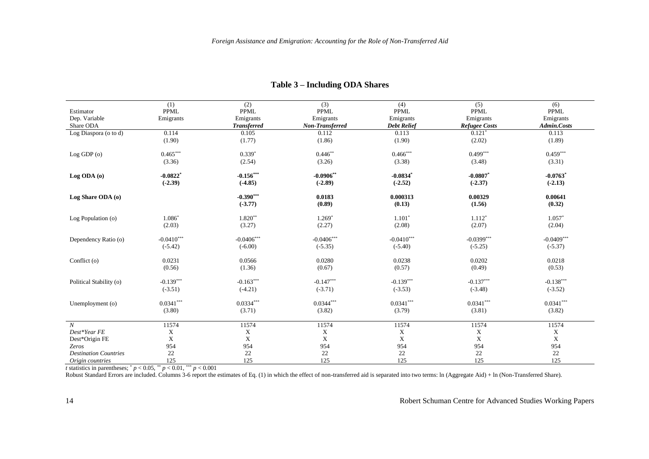|                              | (1)                    | (2)                       | $\overline{3)}$ | (4)                | (5)                    | (6)          |
|------------------------------|------------------------|---------------------------|-----------------|--------------------|------------------------|--------------|
| Estimator                    | PPML                   | <b>PPML</b>               | <b>PPML</b>     | PPML               | <b>PPML</b>            | <b>PPML</b>  |
| Dep. Variable                | Emigrants              | Emigrants                 | Emigrants       | Emigrants          | Emigrants              | Emigrants    |
| Share ODA                    |                        | <b>Transferred</b>        | Non-Transferred | <b>Debt Relief</b> | <b>Refugee Costs</b>   | Admin.Costs  |
| Log Diaspora (o to d)        | 0.114                  | 0.105                     | 0.112           | 0.113              | $0.121*$               | 0.113        |
|                              | (1.90)                 | (1.77)                    | (1.86)          | (1.90)             | (2.02)                 | (1.89)       |
| Log GDP (o)                  | $0.465***$             | $0.339*$                  | $0.446**$       | $0.466***$         | $0.499***$             | $0.459***$   |
|                              | (3.36)                 | (2.54)                    | (3.26)          | (3.38)             | (3.48)                 | (3.31)       |
| Log ODA (0)                  | $-0.0822$ <sup>*</sup> | $-0.156***$               | $-0.0906**$     | $-0.0834$ *        | $-0.0807$ <sup>*</sup> | $-0.0763$ *  |
|                              | $(-2.39)$              | $(-4.85)$                 | $(-2.89)$       | $(-2.52)$          | $(-2.37)$              | $(-2.13)$    |
| Log Share ODA (o)            |                        | $-0.390***$               | 0.0183          | 0.000313           | 0.00329                | 0.00641      |
|                              |                        | $(-3.77)$                 | (0.89)          | (0.13)             | (1.56)                 | (0.32)       |
| Log Population (o)           | $1.086*$               | $1.820**$                 | $1.269*$        | $1.101*$           | $1.112*$               | $1.057*$     |
|                              | (2.03)                 | (3.27)                    | (2.27)          | (2.08)             | (2.07)                 | (2.04)       |
| Dependency Ratio (o)         | $-0.0410***$           | $-0.0406***$              | $-0.0406***$    | $-0.0410***$       | $-0.0399***$           | $-0.0409***$ |
|                              | $(-5.42)$              | $(-6.00)$                 | $(-5.35)$       | $(-5.40)$          | $(-5.25)$              | $(-5.37)$    |
| Conflict (o)                 | 0.0231                 | 0.0566                    | 0.0280          | 0.0238             | 0.0202                 | 0.0218       |
|                              | (0.56)                 | (1.36)                    | (0.67)          | (0.57)             | (0.49)                 | (0.53)       |
| Political Stability (o)      | $-0.139***$            | $-0.163***$               | $-0.147***$     | $-0.139***$        | $-0.137***$            | $-0.138***$  |
|                              | $(-3.51)$              | $(-4.21)$                 | $(-3.71)$       | $(-3.53)$          | $(-3.48)$              | $(-3.52)$    |
| Unemployment (o)             | $0.0341***$            | $0.0334^{***}\,$          | $0.0344***$     | $0.0341***$        | $0.0341***$            | $0.0341***$  |
|                              | (3.80)                 | (3.71)                    | (3.82)          | (3.79)             | (3.81)                 | (3.82)       |
| $\boldsymbol{N}$             | 11574                  | 11574                     | 11574           | 11574              | 11574                  | 11574        |
| Dest*Year FE                 | $\mathbf X$            | $\boldsymbol{\mathrm{X}}$ | X               | $\mathbf X$        | $\mathbf X$            | $\mathbf X$  |
| Dest*Origin FE               | $\mathbf X$            | $\mathbf X$               | $\mathbf X$     | $\mathbf X$        | $\mathbf X$            | X            |
| Zeros                        | 954                    | 954                       | 954             | 954                | 954                    | 954          |
| <b>Destination Countries</b> | 22                     | 22                        | 22              | $22\,$             | 22                     | 22           |
| Origin countries             | 125                    | 125                       | 125             | 125                | 125                    | 125          |

#### **Table 3 – Including ODA Shares**

*t* statistics in parentheses;  $^{*}p$  < 0.05,  $^{**}p$  < 0.01,  $^{***}p$  < 0.001

Robust Standard Errors are included. Columns 3-6 report the estimates of Eq. (1) in which the effect of non-transferred aid is separated into two terms: ln (Aggregate Aid) + ln (Non-Transferred Share).

14 Robert Schuman Centre for Advanced Studies Working Papers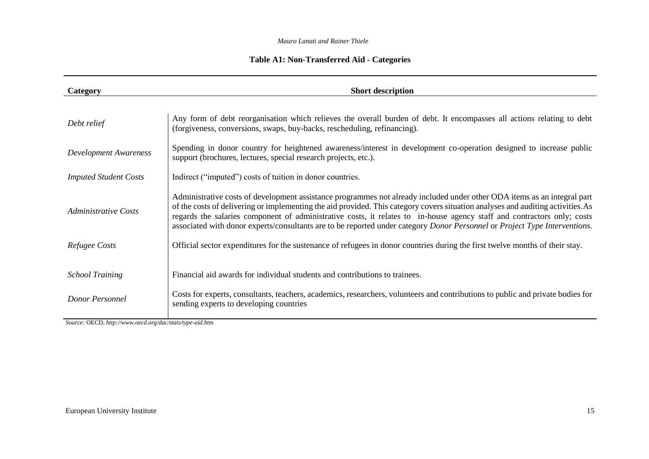#### *Mauro Lanati and Rainer Thiele*

### **Table A1: Non-Transferred Aid - Categories**

| Category                     | <b>Short description</b>                                                                                                                                                                                                                                                                                                                                                                                                                                                                                              |
|------------------------------|-----------------------------------------------------------------------------------------------------------------------------------------------------------------------------------------------------------------------------------------------------------------------------------------------------------------------------------------------------------------------------------------------------------------------------------------------------------------------------------------------------------------------|
|                              |                                                                                                                                                                                                                                                                                                                                                                                                                                                                                                                       |
| Debt relief                  | Any form of debt reorganisation which relieves the overall burden of debt. It encompasses all actions relating to debt<br>(forgiveness, conversions, swaps, buy-backs, rescheduling, refinancing).                                                                                                                                                                                                                                                                                                                    |
| <b>Development Awareness</b> | Spending in donor country for heightened awareness/interest in development co-operation designed to increase public<br>support (brochures, lectures, special research projects, etc.).                                                                                                                                                                                                                                                                                                                                |
| <b>Imputed Student Costs</b> | Indirect ("imputed") costs of tuition in donor countries.                                                                                                                                                                                                                                                                                                                                                                                                                                                             |
| <b>Administrative Costs</b>  | Administrative costs of development assistance programmes not already included under other ODA items as an integral part<br>of the costs of delivering or implementing the aid provided. This category covers situation analyses and auditing activities. As<br>regards the salaries component of administrative costs, it relates to in-house agency staff and contractors only; costs<br>associated with donor experts/consultants are to be reported under category Donor Personnel or Project Type Interventions. |
| Refugee Costs                | Official sector expenditures for the sustenance of refugees in donor countries during the first twelve months of their stay.                                                                                                                                                                                                                                                                                                                                                                                          |
| <b>School Training</b>       | Financial aid awards for individual students and contributions to trainees.                                                                                                                                                                                                                                                                                                                                                                                                                                           |
| Donor Personnel              | Costs for experts, consultants, teachers, academics, researchers, volunteers and contributions to public and private bodies for<br>sending experts to developing countries                                                                                                                                                                                                                                                                                                                                            |

*Source:* OECD*, http://www.oecd.org/dac/stats/type-aid.htm*